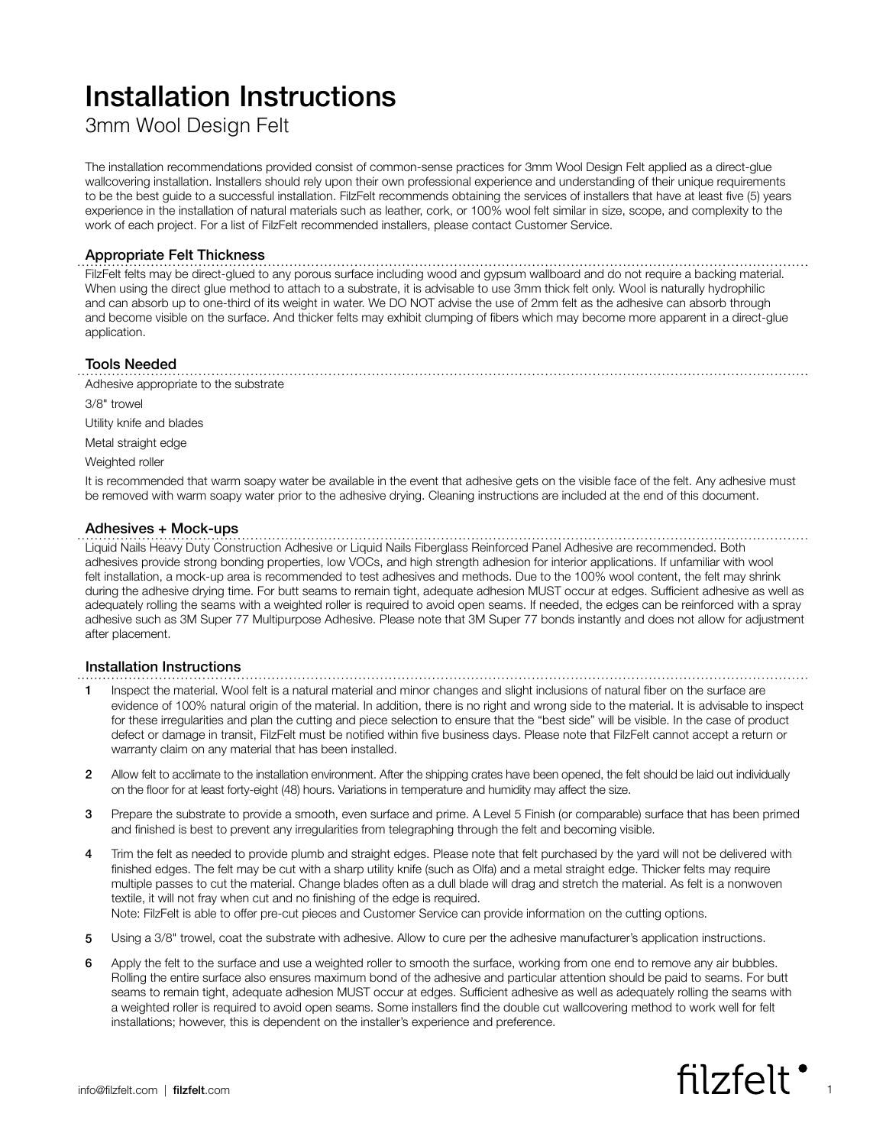# Installation Instructions

3mm Wool Design Felt

The installation recommendations provided consist of common-sense practices for 3mm Wool Design Felt applied as a direct-glue wallcovering installation. Installers should rely upon their own professional experience and understanding of their unique requirements to be the best guide to a successful installation. FilzFelt recommends obtaining the services of installers that have at least five (5) years experience in the installation of natural materials such as leather, cork, or 100% wool felt similar in size, scope, and complexity to the work of each project. For a list of FilzFelt recommended installers, please contact Customer Service.

# Appropriate Felt Thickness

FilzFelt felts may be direct-glued to any porous surface including wood and gypsum wallboard and do not require a backing material. When using the direct glue method to attach to a substrate, it is advisable to use 3mm thick felt only. Wool is naturally hydrophilic and can absorb up to one-third of its weight in water. We DO NOT advise the use of 2mm felt as the adhesive can absorb through and become visible on the surface. And thicker felts may exhibit clumping of fibers which may become more apparent in a direct-glue application.

## Tools Needed

Adhesive appropriate to the substrate

3/8" trowel

Utility knife and blades

Metal straight edge

Weighted roller

It is recommended that warm soapy water be available in the event that adhesive gets on the visible face of the felt. Any adhesive must be removed with warm soapy water prior to the adhesive drying. Cleaning instructions are included at the end of this document.

## Adhesives + Mock-ups

Liquid Nails Heavy Duty Construction Adhesive or Liquid Nails Fiberglass Reinforced Panel Adhesive are recommended. Both adhesives provide strong bonding properties, low VOCs, and high strength adhesion for interior applications. If unfamiliar with wool felt installation, a mock-up area is recommended to test adhesives and methods. Due to the 100% wool content, the felt may shrink during the adhesive drying time. For butt seams to remain tight, adequate adhesion MUST occur at edges. Sufficient adhesive as well as adequately rolling the seams with a weighted roller is required to avoid open seams. If needed, the edges can be reinforced with a spray adhesive such as 3M Super 77 Multipurpose Adhesive. Please note that 3M Super 77 bonds instantly and does not allow for adjustment after placement.

#### Installation Instructions

- 1 Inspect the material. Wool felt is a natural material and minor changes and slight inclusions of natural fiber on the surface are evidence of 100% natural origin of the material. In addition, there is no right and wrong side to the material. It is advisable to inspect for these irregularities and plan the cutting and piece selection to ensure that the "best side" will be visible. In the case of product defect or damage in transit, FilzFelt must be notified within five business days. Please note that FilzFelt cannot accept a return or warranty claim on any material that has been installed.
- 2 Allow felt to acclimate to the installation environment. After the shipping crates have been opened, the felt should be laid out individually on the floor for at least forty-eight (48) hours. Variations in temperature and humidity may affect the size.
- 3 Prepare the substrate to provide a smooth, even surface and prime. A Level 5 Finish (or comparable) surface that has been primed and finished is best to prevent any irregularities from telegraphing through the felt and becoming visible.
- 4 Trim the felt as needed to provide plumb and straight edges. Please note that felt purchased by the yard will not be delivered with finished edges. The felt may be cut with a sharp utility knife (such as Olfa) and a metal straight edge. Thicker felts may require multiple passes to cut the material. Change blades often as a dull blade will drag and stretch the material. As felt is a nonwoven textile, it will not fray when cut and no finishing of the edge is required. Note: FilzFelt is able to offer pre-cut pieces and Customer Service can provide information on the cutting options.
- 5 Using a 3/8" trowel, coat the substrate with adhesive. Allow to cure per the adhesive manufacturer's application instructions.
- 6 Apply the felt to the surface and use a weighted roller to smooth the surface, working from one end to remove any air bubbles. Rolling the entire surface also ensures maximum bond of the adhesive and particular attention should be paid to seams. For butt seams to remain tight, adequate adhesion MUST occur at edges. Sufficient adhesive as well as adequately rolling the seams with a weighted roller is required to avoid open seams. Some installers find the double cut wallcovering method to work well for felt installations; however, this is dependent on the installer's experience and preference.